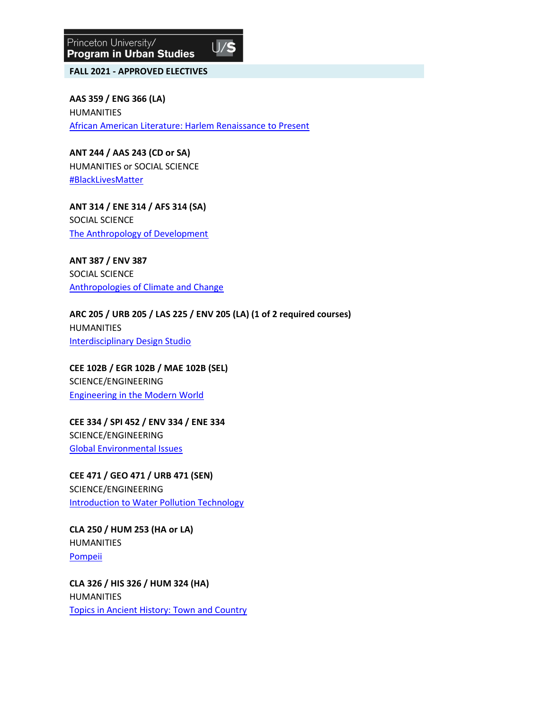

**FALL 2021 - APPROVED ELECTIVES**

**AAS 359 / ENG 366 (LA)** HUMANITIES [African American Literature: Harlem Renaissance to Present](https://registrar.princeton.edu/course-offerings/course-details?term=1222&courseid=009558)

**ANT 244 / AAS 243 (CD or SA)** HUMANITIES or SOCIAL SCIENCE [#BlackLivesMatter](https://registrar.princeton.edu/course-offerings/course-details?term=1222&courseid=016062)

**ANT 314 / ENE 314 / AFS 314 (SA)** SOCIAL SCIENCE [The Anthropology of Development](https://registrar.princeton.edu/course-offerings/course-details?term=1222&courseid=010770)

**ANT 387 / ENV 387**  SOCIAL SCIENCE [Anthropologies of Climate and Change](https://registrar.princeton.edu/course-offerings/course-details?term=1222&courseid=016063)

**ARC 205 / URB 205 / LAS 225 / ENV 205 (LA) (1 of 2 required courses)** HUMANITIES [Interdisciplinary Design Studio](https://registrar.princeton.edu/course-offerings/course-details?term=1222&courseid=014225)

**CEE 102B / EGR 102B / MAE 102B (SEL)** SCIENCE/ENGINEERING [Engineering in the Modern World](https://registrar.princeton.edu/course-offerings/course-details?term=1222&courseid=008724)

**CEE 334 / SPI 452 / ENV 334 / ENE 334**  SCIENCE/ENGINEERING [Global Environmental Issues](https://registrar.princeton.edu/course-offerings/course-details?term=1222&courseid=010733)

**CEE 471 / GEO 471 / URB 471 (SEN)** SCIENCE/ENGINEERING **[Introduction to Water Pollution Technology](https://registrar.princeton.edu/course-offerings/course-details?term=1222&courseid=007964)** 

**CLA 250 / HUM 253 (HA or LA)** HUMANITIES [Pompeii](https://registrar.princeton.edu/course-offerings/course-details?term=1222&courseid=016087)

**CLA 326 / HIS 326 / HUM 324 (HA)** HUMANITIES [Topics in Ancient History: Town and Country](https://registrar.princeton.edu/course-offerings/course-details?term=1222&courseid=001104)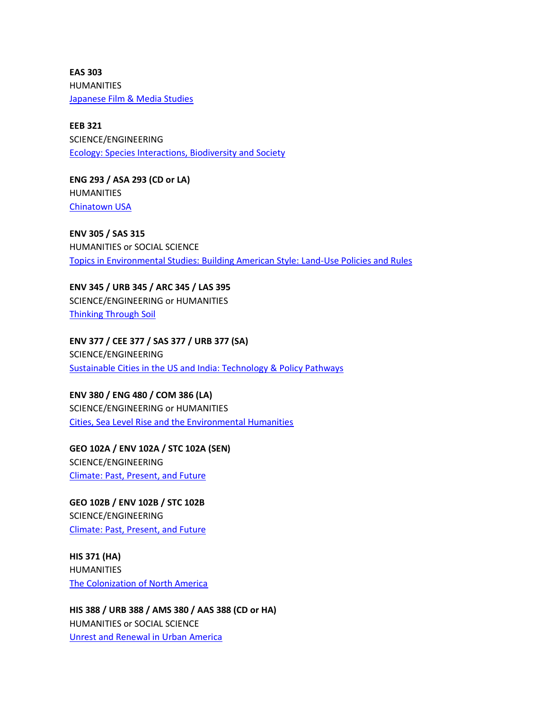**EAS 303**  HUMANITIES [Japanese Film & Media Studies](https://registrar.princeton.edu/course-offerings/course-details?term=1222&courseid=013261)

**EEB 321**  SCIENCE/ENGINEERING [Ecology: Species Interactions, Biodiversity and Society](https://registrar.princeton.edu/course-offerings/course-details?term=1222&courseid=001538)

**ENG 293 / ASA 293 (CD or LA)** HUMANITIES [Chinatown USA](https://registrar.princeton.edu/course-offerings/course-details?term=1222&courseid=016120)

**ENV 305 / SAS 315**  HUMANITIES or SOCIAL SCIENCE [Topics in Environmental Studies: Building American Style: Land-Use Policies and Rules](https://registrar.princeton.edu/course-offerings/course-details?term=1222&courseid=005800)

**ENV 345 / URB 345 / ARC 345 / LAS 395** SCIENCE/ENGINEERING or HUMANITIES [Thinking Through Soil](https://registrar.princeton.edu/course-offerings/course-details?term=1222&courseid=016162)

**ENV 377 / CEE 377 / SAS 377 / URB 377 (SA)** SCIENCE/ENGINEERING [Sustainable Cities in the US and India: Technology & Policy Pathways](https://registrar.princeton.edu/course-offerings/course-details?term=1222&courseid=015414)

**ENV 380 / ENG 480 / COM 386 (LA)** SCIENCE/ENGINEERING or HUMANITIES [Cities, Sea Level Rise and the Environmental Humanities](https://registrar.princeton.edu/course-offerings/course-details?term=1222&courseid=016115)

**GEO 102A / ENV 102A / STC 102A (SEN)** SCIENCE/ENGINEERING [Climate: Past, Present, and Future](https://registrar.princeton.edu/course-offerings/course-details?term=1222&courseid=011152)

**GEO 102B / ENV 102B / STC 102B**  SCIENCE/ENGINEERING [Climate: Past, Present, and Future](https://registrar.princeton.edu/course-offerings/course-details?term=1222&courseid=011153)

**HIS 371 (HA)** HUMANITIES [The Colonization of North America](https://registrar.princeton.edu/course-offerings/course-details?term=1222&courseid=003412)

**HIS 388 / URB 388 / AMS 380 / AAS 388 (CD or HA)** HUMANITIES or SOCIAL SCIENCE [Unrest and Renewal in Urban America](https://registrar.princeton.edu/course-offerings/course-details?term=1222&courseid=011578)